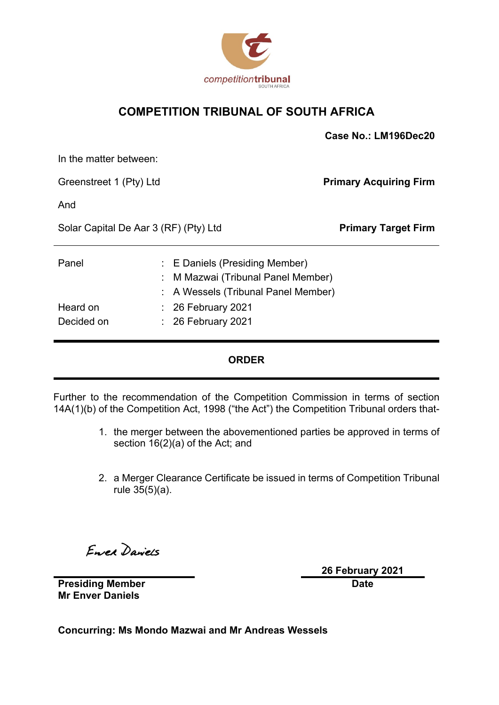

### **COMPETITION TRIBUNAL OF SOUTH AFRICA**

|                                       |  |                                                                                                         | Case No.: LM196Dec20          |
|---------------------------------------|--|---------------------------------------------------------------------------------------------------------|-------------------------------|
| In the matter between:                |  |                                                                                                         |                               |
| Greenstreet 1 (Pty) Ltd               |  |                                                                                                         | <b>Primary Acquiring Firm</b> |
| And                                   |  |                                                                                                         |                               |
| Solar Capital De Aar 3 (RF) (Pty) Ltd |  | <b>Primary Target Firm</b>                                                                              |                               |
| Panel                                 |  | : E Daniels (Presiding Member)<br>M Mazwai (Tribunal Panel Member)<br>A Wessels (Tribunal Panel Member) |                               |
| Heard on<br>Decided on                |  | 26 February 2021<br>$\therefore$ 26 February 2021                                                       |                               |

### **ORDER**

Further to the recommendation of the Competition Commission in terms of section 14A(1)(b) of the Competition Act, 1998 ("the Act") the Competition Tribunal orders that-

- 1. the merger between the abovementioned parties be approved in terms of section 16(2)(a) of the Act; and
- 2. a Merger Clearance Certificate be issued in terms of Competition Tribunal rule 35(5)(a).

Enrea Daviers

**26 February 2021 Date**

**Presiding Member Mr Enver Daniels**

**Concurring: Ms Mondo Mazwai and Mr Andreas Wessels**